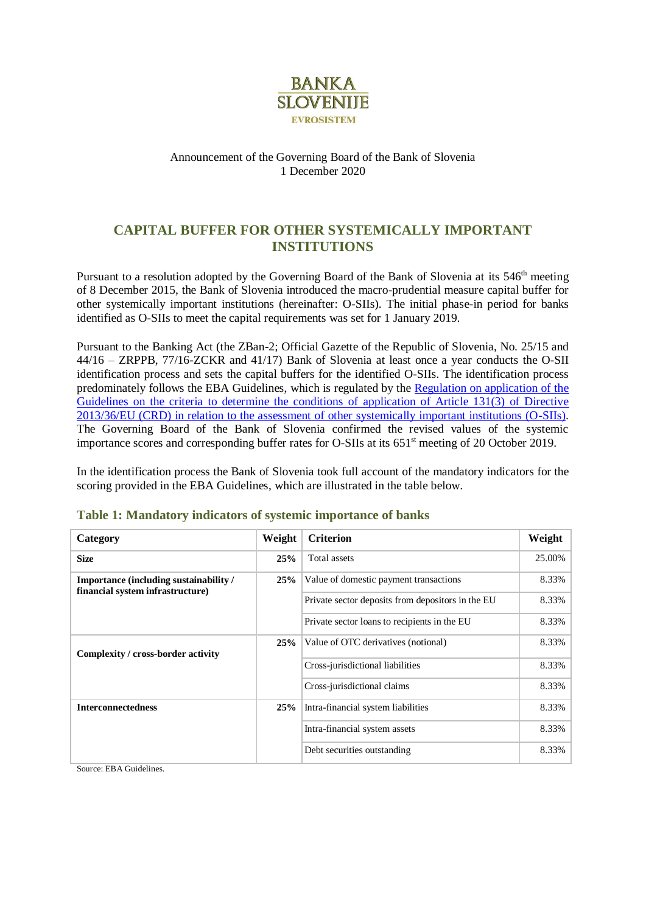

### Announcement of the Governing Board of the Bank of Slovenia 1 December 2020

## **CAPITAL BUFFER FOR OTHER SYSTEMICALLY IMPORTANT INSTITUTIONS**

Pursuant to a resolution adopted by the Governing Board of the Bank of Slovenia at its 546<sup>th</sup> meeting of 8 December 2015, the Bank of Slovenia introduced the macro-prudential measure capital buffer for other systemically important institutions (hereinafter: O-SIIs). The initial phase-in period for banks identified as O-SIIs to meet the capital requirements was set for 1 January 2019.

Pursuant to the Banking Act (the ZBan-2; Official Gazette of the Republic of Slovenia, No. 25/15 and 44/16 – ZRPPB, 77/16-ZCKR and 41/17) Bank of Slovenia at least once a year conducts the O-SII identification process and sets the capital buffers for the identified O-SIIs. The identification process predominately follows the EBA Guidelines, which is regulated by the [Regulation on application of the](https://www.uradni-list.si/glasilo-uradni-list-rs/vsebina/2017-01-3199/sklep-o-spremembi-sklepa-o-uporabi-smernic-o-merilih-za-dolocitev-pogojev-uporabe-clena-1313-direktive-201336eu-crd-v-zvezi-z-oceno-drugih-sistemsko-pomembnih-institucij-dspi)  Guidelines on the criteria to determine the conditions of application of Article 131(3) of Directive [2013/36/EU \(CRD\) in relation to the assessment of other systemically important institutions \(O-SIIs\).](https://www.uradni-list.si/glasilo-uradni-list-rs/vsebina/2017-01-3199/sklep-o-spremembi-sklepa-o-uporabi-smernic-o-merilih-za-dolocitev-pogojev-uporabe-clena-1313-direktive-201336eu-crd-v-zvezi-z-oceno-drugih-sistemsko-pomembnih-institucij-dspi) The Governing Board of the Bank of Slovenia confirmed the revised values of the systemic importance scores and corresponding buffer rates for O-SIIs at its 651<sup>st</sup> meeting of 20 October 2019.

In the identification process the Bank of Slovenia took full account of the mandatory indicators for the scoring provided in the EBA Guidelines, which are illustrated in the table below.

| Category                                                                          | Weight | <b>Criterion</b>                                  | Weight |
|-----------------------------------------------------------------------------------|--------|---------------------------------------------------|--------|
| <b>Size</b>                                                                       | 25%    | Total assets                                      | 25.00% |
| <b>Importance (including sustainability /</b><br>financial system infrastructure) | 25%    | Value of domestic payment transactions            | 8.33%  |
|                                                                                   |        | Private sector deposits from depositors in the EU | 8.33%  |
|                                                                                   |        | Private sector loans to recipients in the EU      | 8.33%  |
| Complexity / cross-border activity                                                | 25%    | Value of OTC derivatives (notional)               | 8.33%  |
|                                                                                   |        | Cross-jurisdictional liabilities                  | 8.33%  |
|                                                                                   |        | Cross-jurisdictional claims                       | 8.33%  |
| <b>Interconnectedness</b>                                                         | 25%    | Intra-financial system liabilities                | 8.33%  |
|                                                                                   |        | Intra-financial system assets                     | 8.33%  |
|                                                                                   |        | Debt securities outstanding                       | 8.33%  |

### **Table 1: Mandatory indicators of systemic importance of banks**

Source: EBA Guidelines.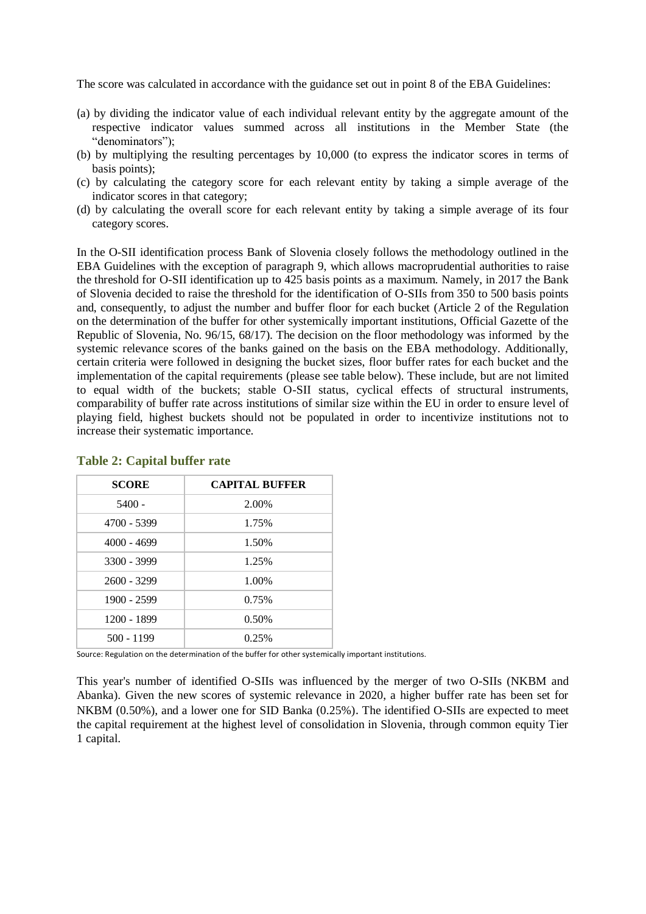The score was calculated in accordance with the guidance set out in point 8 of the EBA Guidelines:

- (a) by dividing the indicator value of each individual relevant entity by the aggregate amount of the respective indicator values summed across all institutions in the Member State (the "denominators");
- (b) by multiplying the resulting percentages by 10,000 (to express the indicator scores in terms of basis points);
- (c) by calculating the category score for each relevant entity by taking a simple average of the indicator scores in that category;
- (d) by calculating the overall score for each relevant entity by taking a simple average of its four category scores.

In the O-SII identification process Bank of Slovenia closely follows the methodology outlined in the EBA Guidelines with the exception of paragraph 9, which allows macroprudential authorities to raise the threshold for O-SII identification up to 425 basis points as a maximum. Namely, in 2017 the Bank of Slovenia decided to raise the threshold for the identification of O-SIIs from 350 to 500 basis points and, consequently, to adjust the number and buffer floor for each bucket (Article 2 of the Regulation on the determination of the buffer for other systemically important institutions, Official Gazette of the Republic of Slovenia, No. 96/15, 68/17). The decision on the floor methodology was informed by the systemic relevance scores of the banks gained on the basis on the EBA methodology. Additionally, certain criteria were followed in designing the bucket sizes, floor buffer rates for each bucket and the implementation of the capital requirements (please see table below). These include, but are not limited to equal width of the buckets; stable O-SII status, cyclical effects of structural instruments, comparability of buffer rate across institutions of similar size within the EU in order to ensure level of playing field, highest buckets should not be populated in order to incentivize institutions not to increase their systematic importance.

| <b>SCORE</b>  | <b>CAPITAL BUFFER</b> |
|---------------|-----------------------|
| $5400 -$      | 2.00%                 |
| 4700 - 5399   | 1.75%                 |
| $4000 - 4699$ | 1.50%                 |
| $3300 - 3999$ | 1.25%                 |
| $2600 - 3299$ | 1.00%                 |
| 1900 - 2599   | 0.75%                 |
| 1200 - 1899   | 0.50%                 |
| $500 - 1199$  | 0.25%                 |

#### **Table 2: Capital buffer rate**

Source: Regulation on the determination of the buffer for other systemically important institutions.

This year's number of identified O-SIIs was influenced by the merger of two O-SIIs (NKBM and Abanka). Given the new scores of systemic relevance in 2020, a higher buffer rate has been set for NKBM (0.50%), and a lower one for SID Banka (0.25%). The identified O-SIIs are expected to meet the capital requirement at the highest level of consolidation in Slovenia, through common equity Tier 1 capital.